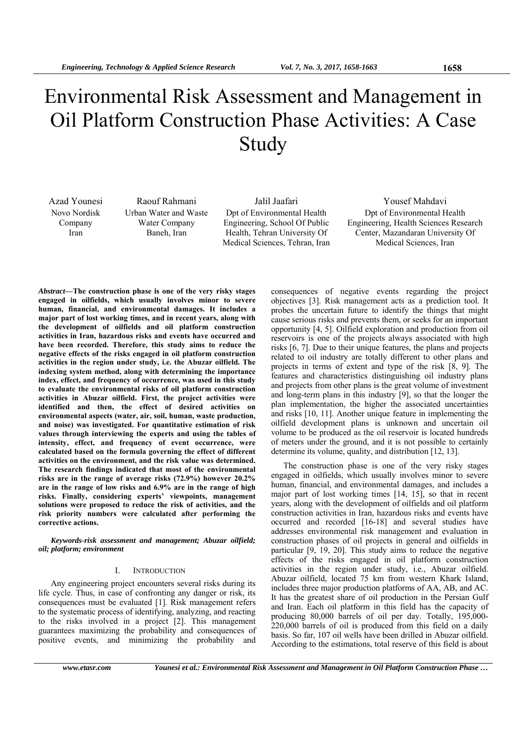# Environmental Risk Assessment and Management in Oil Platform Construction Phase Activities: A Case Study

Novo Nordisk Company Iran

Urban Water and Waste Water Company Baneh, Iran

Dpt of Environmental Health Engineering, School Of Public Health, Tehran University Of Medical Sciences, Tehran, Iran

Azad Younesi Raouf Rahmani Jalil Jaafari Yousef Mahdavi Dpt of Environmental Health Engineering, Health Sciences Research Center, Mazandaran University Of Medical Sciences, Iran

*Abstract***—The construction phase is one of the very risky stages engaged in oilfields, which usually involves minor to severe human, financial, and environmental damages. It includes a major part of lost working times, and in recent years, along with the development of oilfields and oil platform construction activities in Iran, hazardous risks and events have occurred and have been recorded. Therefore, this study aims to reduce the negative effects of the risks engaged in oil platform construction activities in the region under study, i.e. the Abuzar oilfield. The indexing system method, along with determining the importance index, effect, and frequency of occurrence, was used in this study to evaluate the environmental risks of oil platform construction activities in Abuzar oilfield. First, the project activities were identified and then, the effect of desired activities on environmental aspects (water, air, soil, human, waste production, and noise) was investigated. For quantitative estimation of risk values through interviewing the experts and using the tables of intensity, effect, and frequency of event occurrence, were calculated based on the formula governing the effect of different activities on the environment, and the risk value was determined. The research findings indicated that most of the environmental risks are in the range of average risks (72.9%) however 20.2% are in the range of low risks and 6.9% are in the range of high risks. Finally, considering experts' viewpoints, management solutions were proposed to reduce the risk of activities, and the risk priority numbers were calculated after performing the corrective actions.** 

*Keywords-risk assessment and management; Abuzar oilfield; oil; platform; environment* 

#### I. INTRODUCTION

Any engineering project encounters several risks during its life cycle. Thus, in case of confronting any danger or risk, its consequences must be evaluated [1]. Risk management refers to the systematic process of identifying, analyzing, and reacting to the risks involved in a project [2]. This management guarantees maximizing the probability and consequences of positive events, and minimizing the probability and

consequences of negative events regarding the project objectives [3]. Risk management acts as a prediction tool. It probes the uncertain future to identify the things that might cause serious risks and prevents them, or seeks for an important opportunity [4, 5]. Oilfield exploration and production from oil reservoirs is one of the projects always associated with high risks [6, 7]. Due to their unique features, the plans and projects related to oil industry are totally different to other plans and projects in terms of extent and type of the risk [8, 9]. The features and characteristics distinguishing oil industry plans and projects from other plans is the great volume of investment and long-term plans in this industry [9], so that the longer the plan implementation, the higher the associated uncertainties and risks [10, 11]. Another unique feature in implementing the oilfield development plans is unknown and uncertain oil volume to be produced as the oil reservoir is located hundreds of meters under the ground, and it is not possible to certainly determine its volume, quality, and distribution [12, 13].

The construction phase is one of the very risky stages engaged in oilfields, which usually involves minor to severe human, financial, and environmental damages, and includes a major part of lost working times [14, 15], so that in recent years, along with the development of oilfields and oil platform construction activities in Iran, hazardous risks and events have occurred and recorded [16-18] and several studies have addresses environmental risk management and evaluation in construction phases of oil projects in general and oilfields in particular [9, 19, 20]. This study aims to reduce the negative effects of the risks engaged in oil platform construction activities in the region under study, i.e., Abuzar oilfield. Abuzar oilfield, located 75 km from western Khark Island, includes three major production platforms of AA, AB, and AC. It has the greatest share of oil production in the Persian Gulf and Iran. Each oil platform in this field has the capacity of producing 80,000 barrels of oil per day. Totally, 195,000- 220,000 barrels of oil is produced from this field on a daily basis. So far, 107 oil wells have been drilled in Abuzar oilfield. According to the estimations, total reserve of this field is about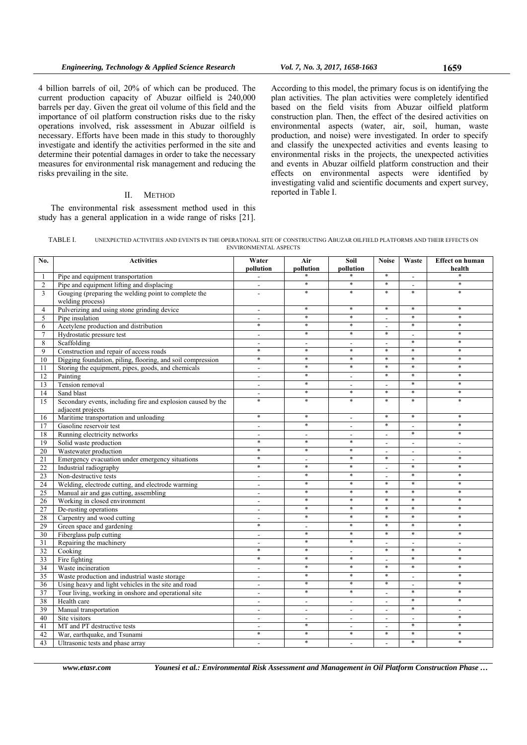4 billion barrels of oil, 20% of which can be produced. The current production capacity of Abuzar oilfield is 240,000 barrels per day. Given the great oil volume of this field and the importance of oil platform construction risks due to the risky operations involved, risk assessment in Abuzar oilfield is necessary. Efforts have been made in this study to thoroughly investigate and identify the activities performed in the site and determine their potential damages in order to take the necessary measures for environmental risk management and reducing the risks prevailing in the site.

## II. METHOD

The environmental risk assessment method used in this study has a general application in a wide range of risks [21].

According to this model, the primary focus is on identifying the plan activities. The plan activities were completely identified based on the field visits from Abuzar oilfield platform construction plan. Then, the effect of the desired activities on environmental aspects (water, air, soil, human, waste production, and noise) were investigated. In order to specify and classify the unexpected activities and events leasing to environmental risks in the projects, the unexpected activities and events in Abuzar oilfield platform construction and their effects on environmental aspects were identified by investigating valid and scientific documents and expert survey, reported in Table I.

| <b>TABLE</b> ) | UNEXPECTED ACTIVITIES AND EVENTS IN THE OPERATIONAL SITE OF CONSTRUCTING ABUZAR OILFIELD PLATFORMS AND THEIR EFFECTS ON |
|----------------|-------------------------------------------------------------------------------------------------------------------------|
|                | ENVIRONMENTAL ASPECTS                                                                                                   |

| No.             | <b>Activities</b>                                                                                    | Water<br>pollution                 | Air<br>pollution         | Soil<br>pollution                  | <b>Noise</b>                               | Waste                              | <b>Effect on human</b><br>health |
|-----------------|------------------------------------------------------------------------------------------------------|------------------------------------|--------------------------|------------------------------------|--------------------------------------------|------------------------------------|----------------------------------|
| $\mathbf{1}$    | Pipe and equipment transportation                                                                    | $\blacksquare$                     |                          |                                    | $\ast$                                     |                                    |                                  |
| $\overline{c}$  | Pipe and equipment lifting and displacing                                                            | $\mathbf{r}$                       | *                        | *                                  | $\ast$                                     | $\blacksquare$                     | $\ast$                           |
| 3               | Gouging (preparing the welding point to complete the<br>welding process)                             | $\overline{\phantom{a}}$           | $\ast$                   | $\ast$                             | $\ast$                                     | $\ast$                             | $\ast$                           |
| $\overline{4}$  | Pulverizing and using stone grinding device                                                          | $\blacksquare$                     | $\ast$                   | $\ast$                             | $\ast$                                     | $\ast$                             | $\ast$                           |
| 5               | Pipe insulation                                                                                      | $\blacksquare$                     | $\ast$                   | $\ast$                             | $\blacksquare$                             | $\ast$                             | $\ast$                           |
| 6               | Acetylene production and distribution                                                                | $\ast$                             | $\ast$                   | *                                  | $\frac{1}{2}$                              | $\ast$                             | $\ast$                           |
| $\overline{7}$  | Hydrostatic pressure test                                                                            | $\overline{a}$                     | $\ast$                   | $\ast$                             | $\ast$                                     |                                    | $\ast$                           |
| 8               | Scaffolding                                                                                          | $\overline{a}$                     | $\sim$                   | $\overline{\phantom{a}}$           | $\blacksquare$                             | $\ast$                             | $\ast$                           |
| 9               | Construction and repair of access roads                                                              | $\ast$                             | $\ast$                   | $\ast$                             | $\ast$                                     | $\ast$                             | $\ast$                           |
| 10              | Digging foundation, piling, flooring, and soil compression                                           | $\ast$                             | $\ast$                   | *                                  | $\ast$                                     | $\ast$                             | $\ast$                           |
| 11              | Storing the equipment, pipes, goods, and chemicals                                                   | $\overline{\phantom{a}}$           | $\ast$                   | *                                  | $\ast$                                     | $\ast$                             | $\ast$                           |
| 12              | Painting                                                                                             | $\sim$                             | $\ast$                   | $\blacksquare$                     | $\ast$                                     | $\ast$                             | $\ast$                           |
| 13              | Tension removal                                                                                      | $\blacksquare$                     | $\ast$                   | $\blacksquare$                     | $\blacksquare$                             | $\ast$                             | $\ast$                           |
| 14              | Sand blast                                                                                           | $\sim$                             | $\ast$                   | $\ast$                             | $\ast$                                     | $\ast$                             | $\ast$                           |
| 15              | Secondary events, including fire and explosion caused by the<br>adjacent projects                    | $\ast$                             | $\ast$                   | $\ast$                             | $\ast$                                     | $\ast$                             | $\ast$                           |
| 16              | Maritime transportation and unloading                                                                | $\ast$                             | $\ast$                   | $\overline{a}$                     | $\ast$                                     | $\ast$                             | $\ast$                           |
| 17              | Gasoline reservoir test                                                                              | $\sim$                             | $\ast$                   | $\overline{\phantom{a}}$           | $\ast$                                     | $\blacksquare$                     | $\ast$                           |
| 18              | Running electricity networks                                                                         | $\overline{a}$                     | $\sim$                   | $\overline{a}$                     | $\overline{a}$                             | $\ast$                             | $\ast$                           |
| 19              | Solid waste production                                                                               | $\ast$                             | $\ast$                   | $\ast$                             | $\overline{a}$                             | $\blacksquare$                     | $\blacksquare$                   |
| 20              | Wastewater production                                                                                | $\ast$                             | $\ast$                   | $\ast$                             | $\blacksquare$                             | $\sim$                             | $\blacksquare$                   |
| $\overline{21}$ | Emergency evacuation under emergency situations                                                      | $\ast$                             | $\overline{\phantom{a}}$ | $\ast$                             | $\ast$                                     | $\overline{a}$                     | $\ast$                           |
| 22              | Industrial radiography                                                                               | $\ast$                             | $\ast$                   | $\ast$                             | $\overline{a}$                             | $\ast$                             | $\ast$                           |
| 23              | Non-destructive tests                                                                                | $\blacksquare$                     | $\ast$                   | *                                  | ٠                                          | $\ast$                             | $\ast$                           |
| 24              | Welding, electrode cutting, and electrode warming                                                    | $\overline{\phantom{a}}$           | $\ast$                   | *                                  | $\ast$                                     | $\ast$                             | $\ast$                           |
| 25              | Manual air and gas cutting, assembling                                                               | $\overline{a}$                     | $\ast$                   | $\ast$                             | $\ast$                                     | $\ast$                             | $\ast$                           |
| 26              | Working in closed environment                                                                        | $\blacksquare$                     | $\ast$                   | $\ast$                             | $\ast$                                     | $\ast$                             | $\ast$                           |
| 27              | De-rusting operations                                                                                | $\overline{\phantom{a}}$           | $\ast$                   | $\ast$                             | $\ast$                                     | $\ast$                             | $\ast$                           |
| 28              | Carpentry and wood cutting                                                                           | $\overline{a}$                     | $\ast$                   | $\ast$                             | $\ast$                                     | $\ast$                             | $\ast$                           |
| 29              | Green space and gardening                                                                            | $\ast$                             | $\overline{\phantom{a}}$ | *                                  | $\ast$                                     | $\ast$                             | $\ast$                           |
| 30              | Fiberglass pulp cutting                                                                              | $\sim$                             | $\ast$<br>$\ast$         | $\ast$<br>$\ast$                   | $\ast$                                     | $\ast$                             | $\ast$                           |
| 31              | Repairing the machinery                                                                              | $\overline{\phantom{a}}$<br>$\ast$ | $\ast$                   |                                    | $\overline{a}$<br>$\ast$                   | $\blacksquare$<br>×                | $\mathbf{r}$<br>$\ast$           |
| 32              | Cooking                                                                                              | $\ast$                             | $\ast$                   | $\overline{\phantom{a}}$<br>$\ast$ |                                            | $\ast$                             | $\ast$                           |
| 33              | Fire fighting                                                                                        |                                    | $\ast$                   | $\ast$                             | $\overline{a}$<br>$\ast$                   | $\ast$                             | $\ast$                           |
| 34              | Waste incineration                                                                                   | $\overline{\phantom{a}}$           | $\ast$                   | $\ast$                             | $\ast$                                     |                                    | $\ast$                           |
| 35              | Waste production and industrial waste storage<br>Using heavy and light vehicles in the site and road | $\blacksquare$                     | $\ast$                   | *                                  | $\ast$                                     |                                    | $\ast$                           |
| 36              | Tour living, working in onshore and operational site                                                 | $\overline{\phantom{a}}$           | $\ast$                   | $\ast$                             |                                            | $\overline{\phantom{a}}$<br>$\ast$ | $\ast$                           |
| 37<br>38        | Health care                                                                                          | $\blacksquare$<br>$\sim$           | $\sim$                   | $\overline{\phantom{a}}$           | $\overline{a}$<br>$\overline{\phantom{a}}$ | $\ast$                             | $\ast$                           |
| 39              | Manual transportation                                                                                | $\sim$                             | $\overline{\phantom{a}}$ | $\overline{a}$                     | $\overline{a}$                             | $\ast$                             | $\blacksquare$                   |
| 40              | Site visitors                                                                                        | $\overline{a}$                     | $\overline{a}$           | $\overline{a}$                     | $\overline{a}$                             | $\sim$                             | $\ast$                           |
| 41              | MT and PT destructive tests                                                                          |                                    | $\ast$                   | $\overline{\phantom{a}}$           |                                            | $\ast$                             | $\ast$                           |
| 42              | War, earthquake, and Tsunami                                                                         | $\blacksquare$<br>$\ast$           | *                        | *                                  | $\overline{\phantom{a}}$<br>$\ast$         | $\ast$                             | $\ast$                           |
| 43              | Ultrasonic tests and phase array                                                                     | $\overline{\phantom{a}}$           | $\ast$                   | $\overline{\phantom{a}}$           | $\overline{a}$                             | $\ast$                             | $\ast$                           |
|                 |                                                                                                      |                                    |                          |                                    |                                            |                                    |                                  |

*www.etasr.com Younesi et al.: Environmental Risk Assessment and Management in Oil Platform Construction Phase …*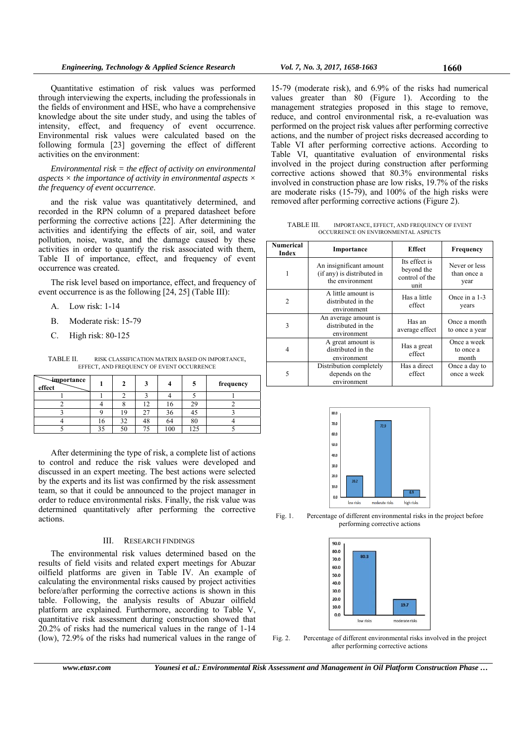Quantitative estimation of risk values was performed through interviewing the experts, including the professionals in the fields of environment and HSE, who have a comprehensive knowledge about the site under study, and using the tables of intensity, effect, and frequency of event occurrence. Environmental risk values were calculated based on the following formula [23] governing the effect of different activities on the environment:

*Environmental risk = the effect of activity on environmental aspects × the importance of activity in environmental aspects × the frequency of event occurrence*.

and the risk value was quantitatively determined, and recorded in the RPN column of a prepared datasheet before performing the corrective actions [22]. After determining the activities and identifying the effects of air, soil, and water pollution, noise, waste, and the damage caused by these activities in order to quantify the risk associated with them, Table II of importance, effect, and frequency of event occurrence was created.

The risk level based on importance, effect, and frequency of event occurrence is as the following [24, 25] (Table III):

- A. Low risk: 1-14
- B. Moderate risk: 15-79
- C. High risk: 80-125

TABLE II. RISK CLASSIFICATION MATRIX BASED ON IMPORTANCE, EFFECT, AND FREQUENCY OF EVENT OCCURRENCE

| importance<br>effect |    | າ  |    |     |                | frequency |
|----------------------|----|----|----|-----|----------------|-----------|
|                      |    |    |    |     |                |           |
|                      |    |    |    | 10  | 2 <sup>c</sup> |           |
|                      |    | 9  |    | 36  |                |           |
|                      | 16 | 32 | 48 | 64  | 80             |           |
|                      | 35 | 50 |    | 100 |                |           |

After determining the type of risk, a complete list of actions to control and reduce the risk values were developed and discussed in an expert meeting. The best actions were selected by the experts and its list was confirmed by the risk assessment team, so that it could be announced to the project manager in order to reduce environmental risks. Finally, the risk value was determined quantitatively after performing the corrective actions.

## III. RESEARCH FINDINGS

The environmental risk values determined based on the results of field visits and related expert meetings for Abuzar oilfield platforms are given in Table IV. An example of calculating the environmental risks caused by project activities before/after performing the corrective actions is shown in this table. Following, the analysis results of Abuzar oilfield platform are explained. Furthermore, according to Table V, quantitative risk assessment during construction showed that 20.2% of risks had the numerical values in the range of 1-14 (low), 72.9% of the risks had numerical values in the range of

15-79 (moderate risk), and 6.9% of the risks had numerical values greater than 80 (Figure 1). According to the management strategies proposed in this stage to remove, reduce, and control environmental risk, a re-evaluation was performed on the project risk values after performing corrective actions, and the number of project risks decreased according to Table VI after performing corrective actions. According to Table VI, quantitative evaluation of environmental risks involved in the project during construction after performing corrective actions showed that 80.3% environmental risks involved in construction phase are low risks, 19.7% of the risks are moderate risks (15-79), and 100% of the high risks were removed after performing corrective actions (Figure 2).

TABLE III. IMPORTANCE, EFFECT, AND FREQUENCY OF EVENT OCCURRENCE ON ENVIRONMENTAL ASPECTS

| <b>Numerical</b><br>Index                                     | Importance                                                               | <b>Effect</b>            | Frequency                            |
|---------------------------------------------------------------|--------------------------------------------------------------------------|--------------------------|--------------------------------------|
| 1                                                             | An insignificant amount<br>(if any) is distributed in<br>the environment |                          | Never or less<br>than once a<br>year |
| $\mathcal{L}$                                                 | A little amount is<br>distributed in the<br>environment                  |                          | Once in a 1-3<br>years               |
| 3                                                             | An average amount is<br>distributed in the<br>environment                | Has an<br>average effect | Once a month<br>to once a year       |
| 4                                                             | A great amount is<br>distributed in the<br>environment                   |                          | Once a week<br>to once a<br>month    |
| Distribution completely<br>5<br>depends on the<br>environment |                                                                          | Has a direct<br>effect   | Once a day to<br>once a week         |







Fig. 2. Percentage of different environmental risks involved in the project after performing corrective actions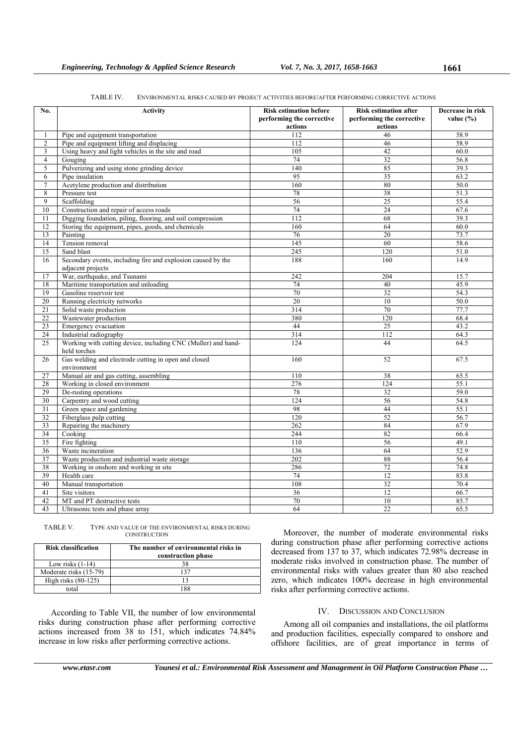#### TABLE IV. ENVIRONMENTAL RISKS CAUSED BY PROJECT ACTIVITIES BEFORE/AFTER PERFORMING CORRECTIVE ACTIONS

| actions<br>actions<br>46<br>58.9<br>Pipe and equipment transportation<br>112<br>1<br>Pipe and equipment lifting and displacing<br>112<br>46<br>58.9<br>$\overline{c}$<br>105<br>42<br>3<br>Using heavy and light vehicles in the site and road<br>60.0<br>$\overline{4}$<br>74<br>32<br>56.8<br>Gouging<br>5<br>85<br>Pulverizing and using stone grinding device<br>140<br>39.3<br>Pipe insulation<br>95<br>35<br>6<br>63.2<br>Acetylene production and distribution<br>160<br>80<br>7<br>50.0<br>8<br>Pressure test<br>78<br>38<br>51.3<br>$\overline{25}$<br>9<br>56<br>55.4<br>Scaffolding<br>10<br>74<br>Construction and repair of access roads<br>24<br>67.6<br>112<br>39.3<br>11<br>Digging foundation, piling, flooring, and soil compression<br>68<br>12<br>Storing the equipment, pipes, goods, and chemicals<br>160<br>64<br>60.0<br>13<br>76<br>20<br>73.7<br>Painting<br>14<br>Tension removal<br>145<br>60<br>58.6<br>15<br>245<br>120<br>51.0<br>Sand blast<br>Secondary events, including fire and explosion caused by the<br>188<br>16<br>160<br>14.9<br>adjacent projects<br>17<br>War, earthquake, and Tsunami<br>242<br>204<br>15.7<br>18<br>Maritime transportation and unloading<br>74<br>40<br>45.9<br>19<br>$\overline{32}$<br>Gasoline reservoir test<br>70<br>54.3<br>20<br>Running electricity networks<br>20<br>10<br>50.0<br>$21\,$<br>Solid waste production<br>314<br>70<br>77.7<br>22<br>Wastewater production<br>380<br>120<br>68.4<br>23<br>Emergency evacuation<br>44<br>25<br>43.2<br>$\overline{24}$<br>112<br>Industrial radiography<br>314<br>64.3<br>Working with cutting device, including CNC (Muller) and hand-<br>44<br>25<br>124<br>64.5<br>held torches<br>Gas welding and electrode cutting in open and closed<br>26<br>160<br>52<br>67.5<br>environment<br>27<br>Manual air and gas cutting, assembling<br>110<br>65.5<br>38<br>Working in closed environment<br>276<br>124<br>55.1<br>28<br>29<br>$78\,$<br>32<br>59.0<br>De-rusting operations<br>$\overline{30}$<br>Carpentry and wood cutting<br>124<br>56<br>54.8<br>$\overline{31}$<br>44<br>Green space and gardening<br>98<br>55.1<br>32<br>Fiberglass pulp cutting<br>120<br>52<br>56.7<br>84<br>33<br>Repairing the machinery<br>262<br>67.9<br>Cooking<br>34<br>244<br>82<br>66.4<br>Fire fighting<br>35<br>110<br>56<br>49.1<br>36<br>Waste incineration<br>64<br>52.9<br>136<br>$\overline{37}$<br>Waste production and industrial waste storage<br>202<br>88<br>56.4<br>38<br>286<br>72<br>Working in onshore and working in site<br>74.8<br>74<br>39<br>12<br>83.8<br>Health care<br>40<br>32<br>Manual transportation<br>108<br>70.4<br>Site visitors<br>36<br>12<br>66.7<br>41<br>42<br>MT and PT destructive tests<br>70<br>10<br>85.7<br>43<br>64<br>$\overline{22}$<br>Ultrasonic tests and phase array<br>65.5 | No. | <b>Activity</b> | <b>Risk estimation before</b><br>performing the corrective | <b>Risk estimation after</b><br>performing the corrective | Decrease in risk<br>value $(\% )$ |
|--------------------------------------------------------------------------------------------------------------------------------------------------------------------------------------------------------------------------------------------------------------------------------------------------------------------------------------------------------------------------------------------------------------------------------------------------------------------------------------------------------------------------------------------------------------------------------------------------------------------------------------------------------------------------------------------------------------------------------------------------------------------------------------------------------------------------------------------------------------------------------------------------------------------------------------------------------------------------------------------------------------------------------------------------------------------------------------------------------------------------------------------------------------------------------------------------------------------------------------------------------------------------------------------------------------------------------------------------------------------------------------------------------------------------------------------------------------------------------------------------------------------------------------------------------------------------------------------------------------------------------------------------------------------------------------------------------------------------------------------------------------------------------------------------------------------------------------------------------------------------------------------------------------------------------------------------------------------------------------------------------------------------------------------------------------------------------------------------------------------------------------------------------------------------------------------------------------------------------------------------------------------------------------------------------------------------------------------------------------------------------------------------------------------------------------------------------------------------------------------------------------------------------------------------------------------------------------------------------------------------------------------------------------------------------------------------------------------------------------------------------------------------------------------------------------------------------------|-----|-----------------|------------------------------------------------------------|-----------------------------------------------------------|-----------------------------------|
|                                                                                                                                                                                                                                                                                                                                                                                                                                                                                                                                                                                                                                                                                                                                                                                                                                                                                                                                                                                                                                                                                                                                                                                                                                                                                                                                                                                                                                                                                                                                                                                                                                                                                                                                                                                                                                                                                                                                                                                                                                                                                                                                                                                                                                                                                                                                                                                                                                                                                                                                                                                                                                                                                                                                                                                                                                      |     |                 |                                                            |                                                           |                                   |
|                                                                                                                                                                                                                                                                                                                                                                                                                                                                                                                                                                                                                                                                                                                                                                                                                                                                                                                                                                                                                                                                                                                                                                                                                                                                                                                                                                                                                                                                                                                                                                                                                                                                                                                                                                                                                                                                                                                                                                                                                                                                                                                                                                                                                                                                                                                                                                                                                                                                                                                                                                                                                                                                                                                                                                                                                                      |     |                 |                                                            |                                                           |                                   |
|                                                                                                                                                                                                                                                                                                                                                                                                                                                                                                                                                                                                                                                                                                                                                                                                                                                                                                                                                                                                                                                                                                                                                                                                                                                                                                                                                                                                                                                                                                                                                                                                                                                                                                                                                                                                                                                                                                                                                                                                                                                                                                                                                                                                                                                                                                                                                                                                                                                                                                                                                                                                                                                                                                                                                                                                                                      |     |                 |                                                            |                                                           |                                   |
|                                                                                                                                                                                                                                                                                                                                                                                                                                                                                                                                                                                                                                                                                                                                                                                                                                                                                                                                                                                                                                                                                                                                                                                                                                                                                                                                                                                                                                                                                                                                                                                                                                                                                                                                                                                                                                                                                                                                                                                                                                                                                                                                                                                                                                                                                                                                                                                                                                                                                                                                                                                                                                                                                                                                                                                                                                      |     |                 |                                                            |                                                           |                                   |
|                                                                                                                                                                                                                                                                                                                                                                                                                                                                                                                                                                                                                                                                                                                                                                                                                                                                                                                                                                                                                                                                                                                                                                                                                                                                                                                                                                                                                                                                                                                                                                                                                                                                                                                                                                                                                                                                                                                                                                                                                                                                                                                                                                                                                                                                                                                                                                                                                                                                                                                                                                                                                                                                                                                                                                                                                                      |     |                 |                                                            |                                                           |                                   |
|                                                                                                                                                                                                                                                                                                                                                                                                                                                                                                                                                                                                                                                                                                                                                                                                                                                                                                                                                                                                                                                                                                                                                                                                                                                                                                                                                                                                                                                                                                                                                                                                                                                                                                                                                                                                                                                                                                                                                                                                                                                                                                                                                                                                                                                                                                                                                                                                                                                                                                                                                                                                                                                                                                                                                                                                                                      |     |                 |                                                            |                                                           |                                   |
|                                                                                                                                                                                                                                                                                                                                                                                                                                                                                                                                                                                                                                                                                                                                                                                                                                                                                                                                                                                                                                                                                                                                                                                                                                                                                                                                                                                                                                                                                                                                                                                                                                                                                                                                                                                                                                                                                                                                                                                                                                                                                                                                                                                                                                                                                                                                                                                                                                                                                                                                                                                                                                                                                                                                                                                                                                      |     |                 |                                                            |                                                           |                                   |
|                                                                                                                                                                                                                                                                                                                                                                                                                                                                                                                                                                                                                                                                                                                                                                                                                                                                                                                                                                                                                                                                                                                                                                                                                                                                                                                                                                                                                                                                                                                                                                                                                                                                                                                                                                                                                                                                                                                                                                                                                                                                                                                                                                                                                                                                                                                                                                                                                                                                                                                                                                                                                                                                                                                                                                                                                                      |     |                 |                                                            |                                                           |                                   |
|                                                                                                                                                                                                                                                                                                                                                                                                                                                                                                                                                                                                                                                                                                                                                                                                                                                                                                                                                                                                                                                                                                                                                                                                                                                                                                                                                                                                                                                                                                                                                                                                                                                                                                                                                                                                                                                                                                                                                                                                                                                                                                                                                                                                                                                                                                                                                                                                                                                                                                                                                                                                                                                                                                                                                                                                                                      |     |                 |                                                            |                                                           |                                   |
|                                                                                                                                                                                                                                                                                                                                                                                                                                                                                                                                                                                                                                                                                                                                                                                                                                                                                                                                                                                                                                                                                                                                                                                                                                                                                                                                                                                                                                                                                                                                                                                                                                                                                                                                                                                                                                                                                                                                                                                                                                                                                                                                                                                                                                                                                                                                                                                                                                                                                                                                                                                                                                                                                                                                                                                                                                      |     |                 |                                                            |                                                           |                                   |
|                                                                                                                                                                                                                                                                                                                                                                                                                                                                                                                                                                                                                                                                                                                                                                                                                                                                                                                                                                                                                                                                                                                                                                                                                                                                                                                                                                                                                                                                                                                                                                                                                                                                                                                                                                                                                                                                                                                                                                                                                                                                                                                                                                                                                                                                                                                                                                                                                                                                                                                                                                                                                                                                                                                                                                                                                                      |     |                 |                                                            |                                                           |                                   |
|                                                                                                                                                                                                                                                                                                                                                                                                                                                                                                                                                                                                                                                                                                                                                                                                                                                                                                                                                                                                                                                                                                                                                                                                                                                                                                                                                                                                                                                                                                                                                                                                                                                                                                                                                                                                                                                                                                                                                                                                                                                                                                                                                                                                                                                                                                                                                                                                                                                                                                                                                                                                                                                                                                                                                                                                                                      |     |                 |                                                            |                                                           |                                   |
|                                                                                                                                                                                                                                                                                                                                                                                                                                                                                                                                                                                                                                                                                                                                                                                                                                                                                                                                                                                                                                                                                                                                                                                                                                                                                                                                                                                                                                                                                                                                                                                                                                                                                                                                                                                                                                                                                                                                                                                                                                                                                                                                                                                                                                                                                                                                                                                                                                                                                                                                                                                                                                                                                                                                                                                                                                      |     |                 |                                                            |                                                           |                                   |
|                                                                                                                                                                                                                                                                                                                                                                                                                                                                                                                                                                                                                                                                                                                                                                                                                                                                                                                                                                                                                                                                                                                                                                                                                                                                                                                                                                                                                                                                                                                                                                                                                                                                                                                                                                                                                                                                                                                                                                                                                                                                                                                                                                                                                                                                                                                                                                                                                                                                                                                                                                                                                                                                                                                                                                                                                                      |     |                 |                                                            |                                                           |                                   |
|                                                                                                                                                                                                                                                                                                                                                                                                                                                                                                                                                                                                                                                                                                                                                                                                                                                                                                                                                                                                                                                                                                                                                                                                                                                                                                                                                                                                                                                                                                                                                                                                                                                                                                                                                                                                                                                                                                                                                                                                                                                                                                                                                                                                                                                                                                                                                                                                                                                                                                                                                                                                                                                                                                                                                                                                                                      |     |                 |                                                            |                                                           |                                   |
|                                                                                                                                                                                                                                                                                                                                                                                                                                                                                                                                                                                                                                                                                                                                                                                                                                                                                                                                                                                                                                                                                                                                                                                                                                                                                                                                                                                                                                                                                                                                                                                                                                                                                                                                                                                                                                                                                                                                                                                                                                                                                                                                                                                                                                                                                                                                                                                                                                                                                                                                                                                                                                                                                                                                                                                                                                      |     |                 |                                                            |                                                           |                                   |
|                                                                                                                                                                                                                                                                                                                                                                                                                                                                                                                                                                                                                                                                                                                                                                                                                                                                                                                                                                                                                                                                                                                                                                                                                                                                                                                                                                                                                                                                                                                                                                                                                                                                                                                                                                                                                                                                                                                                                                                                                                                                                                                                                                                                                                                                                                                                                                                                                                                                                                                                                                                                                                                                                                                                                                                                                                      |     |                 |                                                            |                                                           |                                   |
|                                                                                                                                                                                                                                                                                                                                                                                                                                                                                                                                                                                                                                                                                                                                                                                                                                                                                                                                                                                                                                                                                                                                                                                                                                                                                                                                                                                                                                                                                                                                                                                                                                                                                                                                                                                                                                                                                                                                                                                                                                                                                                                                                                                                                                                                                                                                                                                                                                                                                                                                                                                                                                                                                                                                                                                                                                      |     |                 |                                                            |                                                           |                                   |
|                                                                                                                                                                                                                                                                                                                                                                                                                                                                                                                                                                                                                                                                                                                                                                                                                                                                                                                                                                                                                                                                                                                                                                                                                                                                                                                                                                                                                                                                                                                                                                                                                                                                                                                                                                                                                                                                                                                                                                                                                                                                                                                                                                                                                                                                                                                                                                                                                                                                                                                                                                                                                                                                                                                                                                                                                                      |     |                 |                                                            |                                                           |                                   |
|                                                                                                                                                                                                                                                                                                                                                                                                                                                                                                                                                                                                                                                                                                                                                                                                                                                                                                                                                                                                                                                                                                                                                                                                                                                                                                                                                                                                                                                                                                                                                                                                                                                                                                                                                                                                                                                                                                                                                                                                                                                                                                                                                                                                                                                                                                                                                                                                                                                                                                                                                                                                                                                                                                                                                                                                                                      |     |                 |                                                            |                                                           |                                   |
|                                                                                                                                                                                                                                                                                                                                                                                                                                                                                                                                                                                                                                                                                                                                                                                                                                                                                                                                                                                                                                                                                                                                                                                                                                                                                                                                                                                                                                                                                                                                                                                                                                                                                                                                                                                                                                                                                                                                                                                                                                                                                                                                                                                                                                                                                                                                                                                                                                                                                                                                                                                                                                                                                                                                                                                                                                      |     |                 |                                                            |                                                           |                                   |
|                                                                                                                                                                                                                                                                                                                                                                                                                                                                                                                                                                                                                                                                                                                                                                                                                                                                                                                                                                                                                                                                                                                                                                                                                                                                                                                                                                                                                                                                                                                                                                                                                                                                                                                                                                                                                                                                                                                                                                                                                                                                                                                                                                                                                                                                                                                                                                                                                                                                                                                                                                                                                                                                                                                                                                                                                                      |     |                 |                                                            |                                                           |                                   |
|                                                                                                                                                                                                                                                                                                                                                                                                                                                                                                                                                                                                                                                                                                                                                                                                                                                                                                                                                                                                                                                                                                                                                                                                                                                                                                                                                                                                                                                                                                                                                                                                                                                                                                                                                                                                                                                                                                                                                                                                                                                                                                                                                                                                                                                                                                                                                                                                                                                                                                                                                                                                                                                                                                                                                                                                                                      |     |                 |                                                            |                                                           |                                   |
|                                                                                                                                                                                                                                                                                                                                                                                                                                                                                                                                                                                                                                                                                                                                                                                                                                                                                                                                                                                                                                                                                                                                                                                                                                                                                                                                                                                                                                                                                                                                                                                                                                                                                                                                                                                                                                                                                                                                                                                                                                                                                                                                                                                                                                                                                                                                                                                                                                                                                                                                                                                                                                                                                                                                                                                                                                      |     |                 |                                                            |                                                           |                                   |
|                                                                                                                                                                                                                                                                                                                                                                                                                                                                                                                                                                                                                                                                                                                                                                                                                                                                                                                                                                                                                                                                                                                                                                                                                                                                                                                                                                                                                                                                                                                                                                                                                                                                                                                                                                                                                                                                                                                                                                                                                                                                                                                                                                                                                                                                                                                                                                                                                                                                                                                                                                                                                                                                                                                                                                                                                                      |     |                 |                                                            |                                                           |                                   |
|                                                                                                                                                                                                                                                                                                                                                                                                                                                                                                                                                                                                                                                                                                                                                                                                                                                                                                                                                                                                                                                                                                                                                                                                                                                                                                                                                                                                                                                                                                                                                                                                                                                                                                                                                                                                                                                                                                                                                                                                                                                                                                                                                                                                                                                                                                                                                                                                                                                                                                                                                                                                                                                                                                                                                                                                                                      |     |                 |                                                            |                                                           |                                   |
|                                                                                                                                                                                                                                                                                                                                                                                                                                                                                                                                                                                                                                                                                                                                                                                                                                                                                                                                                                                                                                                                                                                                                                                                                                                                                                                                                                                                                                                                                                                                                                                                                                                                                                                                                                                                                                                                                                                                                                                                                                                                                                                                                                                                                                                                                                                                                                                                                                                                                                                                                                                                                                                                                                                                                                                                                                      |     |                 |                                                            |                                                           |                                   |
|                                                                                                                                                                                                                                                                                                                                                                                                                                                                                                                                                                                                                                                                                                                                                                                                                                                                                                                                                                                                                                                                                                                                                                                                                                                                                                                                                                                                                                                                                                                                                                                                                                                                                                                                                                                                                                                                                                                                                                                                                                                                                                                                                                                                                                                                                                                                                                                                                                                                                                                                                                                                                                                                                                                                                                                                                                      |     |                 |                                                            |                                                           |                                   |
|                                                                                                                                                                                                                                                                                                                                                                                                                                                                                                                                                                                                                                                                                                                                                                                                                                                                                                                                                                                                                                                                                                                                                                                                                                                                                                                                                                                                                                                                                                                                                                                                                                                                                                                                                                                                                                                                                                                                                                                                                                                                                                                                                                                                                                                                                                                                                                                                                                                                                                                                                                                                                                                                                                                                                                                                                                      |     |                 |                                                            |                                                           |                                   |
|                                                                                                                                                                                                                                                                                                                                                                                                                                                                                                                                                                                                                                                                                                                                                                                                                                                                                                                                                                                                                                                                                                                                                                                                                                                                                                                                                                                                                                                                                                                                                                                                                                                                                                                                                                                                                                                                                                                                                                                                                                                                                                                                                                                                                                                                                                                                                                                                                                                                                                                                                                                                                                                                                                                                                                                                                                      |     |                 |                                                            |                                                           |                                   |
|                                                                                                                                                                                                                                                                                                                                                                                                                                                                                                                                                                                                                                                                                                                                                                                                                                                                                                                                                                                                                                                                                                                                                                                                                                                                                                                                                                                                                                                                                                                                                                                                                                                                                                                                                                                                                                                                                                                                                                                                                                                                                                                                                                                                                                                                                                                                                                                                                                                                                                                                                                                                                                                                                                                                                                                                                                      |     |                 |                                                            |                                                           |                                   |
|                                                                                                                                                                                                                                                                                                                                                                                                                                                                                                                                                                                                                                                                                                                                                                                                                                                                                                                                                                                                                                                                                                                                                                                                                                                                                                                                                                                                                                                                                                                                                                                                                                                                                                                                                                                                                                                                                                                                                                                                                                                                                                                                                                                                                                                                                                                                                                                                                                                                                                                                                                                                                                                                                                                                                                                                                                      |     |                 |                                                            |                                                           |                                   |
|                                                                                                                                                                                                                                                                                                                                                                                                                                                                                                                                                                                                                                                                                                                                                                                                                                                                                                                                                                                                                                                                                                                                                                                                                                                                                                                                                                                                                                                                                                                                                                                                                                                                                                                                                                                                                                                                                                                                                                                                                                                                                                                                                                                                                                                                                                                                                                                                                                                                                                                                                                                                                                                                                                                                                                                                                                      |     |                 |                                                            |                                                           |                                   |
|                                                                                                                                                                                                                                                                                                                                                                                                                                                                                                                                                                                                                                                                                                                                                                                                                                                                                                                                                                                                                                                                                                                                                                                                                                                                                                                                                                                                                                                                                                                                                                                                                                                                                                                                                                                                                                                                                                                                                                                                                                                                                                                                                                                                                                                                                                                                                                                                                                                                                                                                                                                                                                                                                                                                                                                                                                      |     |                 |                                                            |                                                           |                                   |
|                                                                                                                                                                                                                                                                                                                                                                                                                                                                                                                                                                                                                                                                                                                                                                                                                                                                                                                                                                                                                                                                                                                                                                                                                                                                                                                                                                                                                                                                                                                                                                                                                                                                                                                                                                                                                                                                                                                                                                                                                                                                                                                                                                                                                                                                                                                                                                                                                                                                                                                                                                                                                                                                                                                                                                                                                                      |     |                 |                                                            |                                                           |                                   |
|                                                                                                                                                                                                                                                                                                                                                                                                                                                                                                                                                                                                                                                                                                                                                                                                                                                                                                                                                                                                                                                                                                                                                                                                                                                                                                                                                                                                                                                                                                                                                                                                                                                                                                                                                                                                                                                                                                                                                                                                                                                                                                                                                                                                                                                                                                                                                                                                                                                                                                                                                                                                                                                                                                                                                                                                                                      |     |                 |                                                            |                                                           |                                   |
|                                                                                                                                                                                                                                                                                                                                                                                                                                                                                                                                                                                                                                                                                                                                                                                                                                                                                                                                                                                                                                                                                                                                                                                                                                                                                                                                                                                                                                                                                                                                                                                                                                                                                                                                                                                                                                                                                                                                                                                                                                                                                                                                                                                                                                                                                                                                                                                                                                                                                                                                                                                                                                                                                                                                                                                                                                      |     |                 |                                                            |                                                           |                                   |
|                                                                                                                                                                                                                                                                                                                                                                                                                                                                                                                                                                                                                                                                                                                                                                                                                                                                                                                                                                                                                                                                                                                                                                                                                                                                                                                                                                                                                                                                                                                                                                                                                                                                                                                                                                                                                                                                                                                                                                                                                                                                                                                                                                                                                                                                                                                                                                                                                                                                                                                                                                                                                                                                                                                                                                                                                                      |     |                 |                                                            |                                                           |                                   |
|                                                                                                                                                                                                                                                                                                                                                                                                                                                                                                                                                                                                                                                                                                                                                                                                                                                                                                                                                                                                                                                                                                                                                                                                                                                                                                                                                                                                                                                                                                                                                                                                                                                                                                                                                                                                                                                                                                                                                                                                                                                                                                                                                                                                                                                                                                                                                                                                                                                                                                                                                                                                                                                                                                                                                                                                                                      |     |                 |                                                            |                                                           |                                   |
|                                                                                                                                                                                                                                                                                                                                                                                                                                                                                                                                                                                                                                                                                                                                                                                                                                                                                                                                                                                                                                                                                                                                                                                                                                                                                                                                                                                                                                                                                                                                                                                                                                                                                                                                                                                                                                                                                                                                                                                                                                                                                                                                                                                                                                                                                                                                                                                                                                                                                                                                                                                                                                                                                                                                                                                                                                      |     |                 |                                                            |                                                           |                                   |
|                                                                                                                                                                                                                                                                                                                                                                                                                                                                                                                                                                                                                                                                                                                                                                                                                                                                                                                                                                                                                                                                                                                                                                                                                                                                                                                                                                                                                                                                                                                                                                                                                                                                                                                                                                                                                                                                                                                                                                                                                                                                                                                                                                                                                                                                                                                                                                                                                                                                                                                                                                                                                                                                                                                                                                                                                                      |     |                 |                                                            |                                                           |                                   |
|                                                                                                                                                                                                                                                                                                                                                                                                                                                                                                                                                                                                                                                                                                                                                                                                                                                                                                                                                                                                                                                                                                                                                                                                                                                                                                                                                                                                                                                                                                                                                                                                                                                                                                                                                                                                                                                                                                                                                                                                                                                                                                                                                                                                                                                                                                                                                                                                                                                                                                                                                                                                                                                                                                                                                                                                                                      |     |                 |                                                            |                                                           |                                   |
|                                                                                                                                                                                                                                                                                                                                                                                                                                                                                                                                                                                                                                                                                                                                                                                                                                                                                                                                                                                                                                                                                                                                                                                                                                                                                                                                                                                                                                                                                                                                                                                                                                                                                                                                                                                                                                                                                                                                                                                                                                                                                                                                                                                                                                                                                                                                                                                                                                                                                                                                                                                                                                                                                                                                                                                                                                      |     |                 |                                                            |                                                           |                                   |
|                                                                                                                                                                                                                                                                                                                                                                                                                                                                                                                                                                                                                                                                                                                                                                                                                                                                                                                                                                                                                                                                                                                                                                                                                                                                                                                                                                                                                                                                                                                                                                                                                                                                                                                                                                                                                                                                                                                                                                                                                                                                                                                                                                                                                                                                                                                                                                                                                                                                                                                                                                                                                                                                                                                                                                                                                                      |     |                 |                                                            |                                                           |                                   |

TABLE V. TYPE AND VALUE OF THE ENVIRONMENTAL RISKS DURING **CONSTRUCTION** 

| <b>Risk classification</b> | The number of environmental risks in<br>construction phase |
|----------------------------|------------------------------------------------------------|
| Low risks $(1-14)$         |                                                            |
| Moderate risks (15-79)     |                                                            |
| High risks $(80-125)$      |                                                            |
| total                      |                                                            |

According to Table VII, the number of low environmental risks during construction phase after performing corrective actions increased from 38 to 151, which indicates 74.84% increase in low risks after performing corrective actions.

Moreover, the number of moderate environmental risks during construction phase after performing corrective actions decreased from 137 to 37, which indicates 72.98% decrease in moderate risks involved in construction phase. The number of environmental risks with values greater than 80 also reached zero, which indicates 100% decrease in high environmental risks after performing corrective actions.

## IV. DISCUSSION AND CONCLUSION

Among all oil companies and installations, the oil platforms and production facilities, especially compared to onshore and offshore facilities, are of great importance in terms of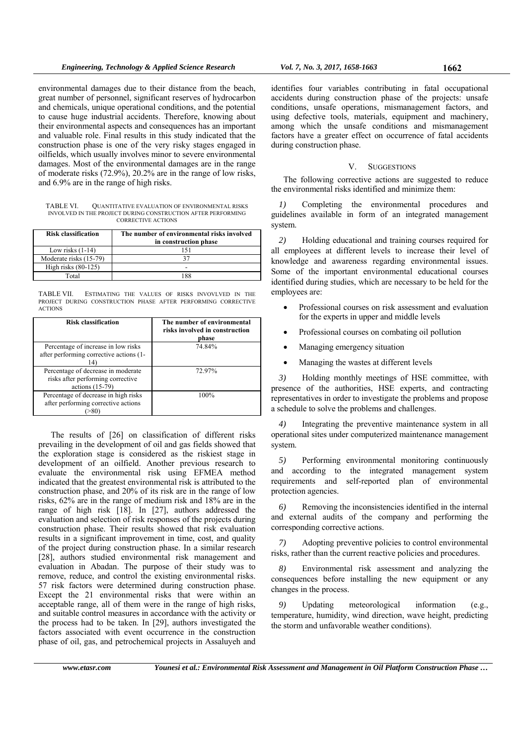environmental damages due to their distance from the beach, great number of personnel, significant reserves of hydrocarbon and chemicals, unique operational conditions, and the potential to cause huge industrial accidents. Therefore, knowing about their environmental aspects and consequences has an important and valuable role. Final results in this study indicated that the construction phase is one of the very risky stages engaged in oilfields, which usually involves minor to severe environmental damages. Most of the environmental damages are in the range of moderate risks (72.9%), 20.2% are in the range of low risks, and 6.9% are in the range of high risks.

TABLE VI. QUANTITATIVE EVALUATION OF ENVIRONMENTAL RISKS INVOLVED IN THE PROJECT DURING CONSTRUCTION AFTER PERFORMING CORRECTIVE ACTIONS

| <b>Risk classification</b> | The number of environmental risks involved<br>in construction phase |
|----------------------------|---------------------------------------------------------------------|
| Low risks $(1-14)$         | 151                                                                 |
| Moderate risks (15-79)     | 37                                                                  |
| High risks $(80-125)$      |                                                                     |
| Total                      | 88                                                                  |

TABLE VII. ESTIMATING THE VALUES OF RISKS INVOVLVED IN THE PROJECT DURING CONSTRUCTION PHASE AFTER PERFORMING CORRECTIVE ACTIONS

| <b>Risk classification</b>                                                                   | The number of environmental<br>risks involved in construction<br>phase |
|----------------------------------------------------------------------------------------------|------------------------------------------------------------------------|
| Percentage of increase in low risks<br>after performing corrective actions (1-<br>14         | 74.84%                                                                 |
| Percentage of decrease in moderate<br>risks after performing corrective<br>actions $(15-79)$ | 72.97%                                                                 |
| Percentage of decrease in high risks<br>after performing corrective actions                  | 100%                                                                   |

The results of [26] on classification of different risks prevailing in the development of oil and gas fields showed that the exploration stage is considered as the riskiest stage in development of an oilfield. Another previous research to evaluate the environmental risk using EFMEA method indicated that the greatest environmental risk is attributed to the construction phase, and 20% of its risk are in the range of low risks, 62% are in the range of medium risk and 18% are in the range of high risk [18]. In [27], authors addressed the evaluation and selection of risk responses of the projects during construction phase. Their results showed that risk evaluation results in a significant improvement in time, cost, and quality of the project during construction phase. In a similar research [28], authors studied environmental risk management and evaluation in Abadan. The purpose of their study was to remove, reduce, and control the existing environmental risks. 57 risk factors were determined during construction phase. Except the 21 environmental risks that were within an acceptable range, all of them were in the range of high risks, and suitable control measures in accordance with the activity or the process had to be taken. In [29], authors investigated the factors associated with event occurrence in the construction phase of oil, gas, and petrochemical projects in Assaluyeh and

identifies four variables contributing in fatal occupational accidents during construction phase of the projects: unsafe conditions, unsafe operations, mismanagement factors, and using defective tools, materials, equipment and machinery, among which the unsafe conditions and mismanagement factors have a greater effect on occurrence of fatal accidents during construction phase.

### V. SUGGESTIONS

The following corrective actions are suggested to reduce the environmental risks identified and minimize them:

*1)* Completing the environmental procedures and guidelines available in form of an integrated management system.

*2)* Holding educational and training courses required for all employees at different levels to increase their level of knowledge and awareness regarding environmental issues. Some of the important environmental educational courses identified during studies, which are necessary to be held for the employees are:

- Professional courses on risk assessment and evaluation for the experts in upper and middle levels
- Professional courses on combating oil pollution
- Managing emergency situation
- Managing the wastes at different levels

*3)* Holding monthly meetings of HSE committee, with presence of the authorities, HSE experts, and contracting representatives in order to investigate the problems and propose a schedule to solve the problems and challenges.

*4)* Integrating the preventive maintenance system in all operational sites under computerized maintenance management system.

*5)* Performing environmental monitoring continuously and according to the integrated management system requirements and self-reported plan of environmental protection agencies.

*6)* Removing the inconsistencies identified in the internal and external audits of the company and performing the corresponding corrective actions.

*7)* Adopting preventive policies to control environmental risks, rather than the current reactive policies and procedures.

*8)* Environmental risk assessment and analyzing the consequences before installing the new equipment or any changes in the process.

*9)* Updating meteorological information (e.g., temperature, humidity, wind direction, wave height, predicting the storm and unfavorable weather conditions).